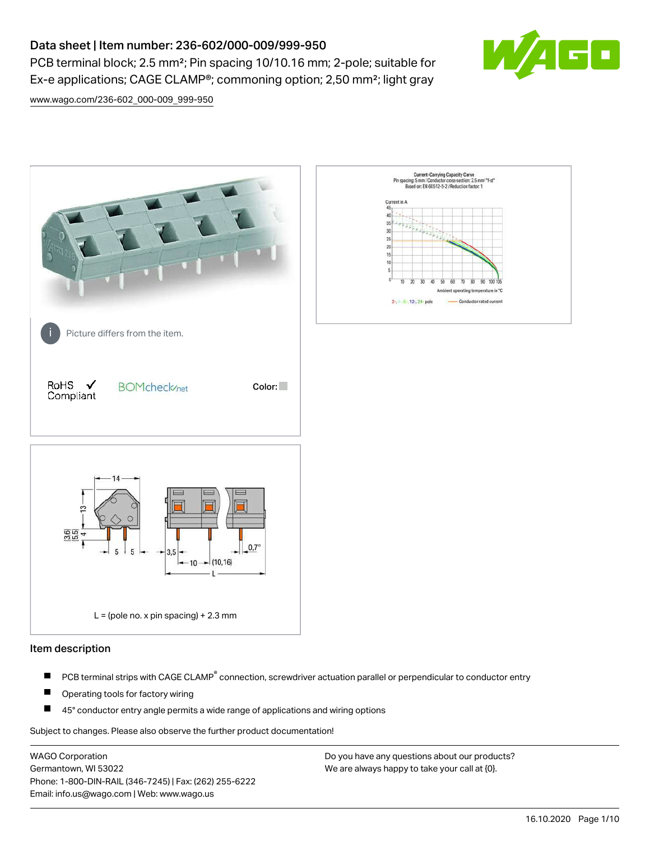# Data sheet | Item number: 236-602/000-009/999-950

PCB terminal block; 2.5 mm²; Pin spacing 10/10.16 mm; 2-pole; suitable for Ex-e applications; CAGE CLAMP®; commoning option; 2,50 mm²; light gray



[www.wago.com/236-602\\_000-009\\_999-950](http://www.wago.com/236-602_000-009_999-950)



## Item description

- PCB terminal strips with CAGE CLAMP<sup>®</sup> connection, screwdriver actuation parallel or perpendicular to conductor entry П
- П Operating tools for factory wiring
- П 45° conductor entry angle permits a wide range of applications and wiring options

Subject to changes. Please also observe the further product documentation!

WAGO Corporation Germantown, WI 53022 Phone: 1-800-DIN-RAIL (346-7245) | Fax: (262) 255-6222 Email: info.us@wago.com | Web: www.wago.us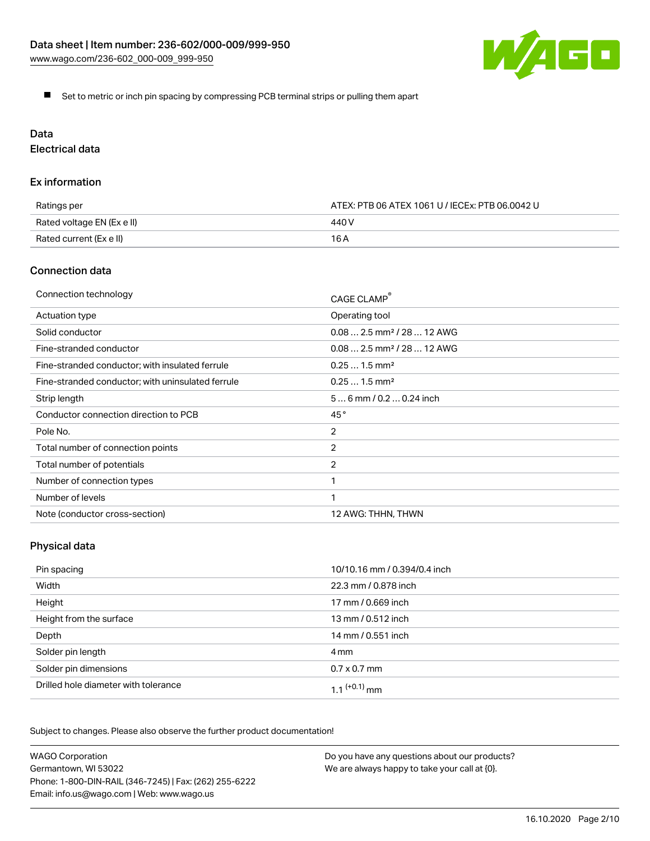

Set to metric or inch pin spacing by compressing PCB terminal strips or pulling them apart

# Data

Electrical data

## Ex information

| Ratings per                | ATEX: PTB 06 ATEX 1061 U / IECEx: PTB 06.0042 U |  |
|----------------------------|-------------------------------------------------|--|
| Rated voltage EN (Ex e II) | 440 V                                           |  |
| Rated current (Ex e II)    | 16 A                                            |  |

# Connection data

| Connection technology                             | CAGE CLAMP®                            |
|---------------------------------------------------|----------------------------------------|
| Actuation type                                    | Operating tool                         |
| Solid conductor                                   | $0.082.5$ mm <sup>2</sup> / 28  12 AWG |
| Fine-stranded conductor                           | $0.082.5$ mm <sup>2</sup> / 28  12 AWG |
| Fine-stranded conductor; with insulated ferrule   | $0.251.5$ mm <sup>2</sup>              |
| Fine-stranded conductor; with uninsulated ferrule | $0.251.5$ mm <sup>2</sup>              |
| Strip length                                      | $56$ mm / 0.2 $$ 0.24 inch             |
| Conductor connection direction to PCB             | 45°                                    |
| Pole No.                                          | $\overline{2}$                         |
| Total number of connection points                 | 2                                      |
| Total number of potentials                        | $\overline{2}$                         |
| Number of connection types                        |                                        |
| Number of levels                                  | 1                                      |
| Note (conductor cross-section)                    | 12 AWG: THHN, THWN                     |

# Physical data

| Pin spacing                          | 10/10.16 mm / 0.394/0.4 inch |
|--------------------------------------|------------------------------|
| Width                                | 22.3 mm / 0.878 inch         |
| Height                               | 17 mm / 0.669 inch           |
| Height from the surface              | 13 mm / 0.512 inch           |
| Depth                                | 14 mm / 0.551 inch           |
| Solder pin length                    | 4 mm                         |
| Solder pin dimensions                | $0.7 \times 0.7$ mm          |
| Drilled hole diameter with tolerance | $1.1$ $(+0.1)$ mm            |

Subject to changes. Please also observe the further product documentation!

| <b>WAGO Corporation</b>                                | Do you have any questions about our products? |
|--------------------------------------------------------|-----------------------------------------------|
| Germantown, WI 53022                                   | We are always happy to take your call at {0}. |
| Phone: 1-800-DIN-RAIL (346-7245)   Fax: (262) 255-6222 |                                               |
| Email: info.us@wago.com   Web: www.wago.us             |                                               |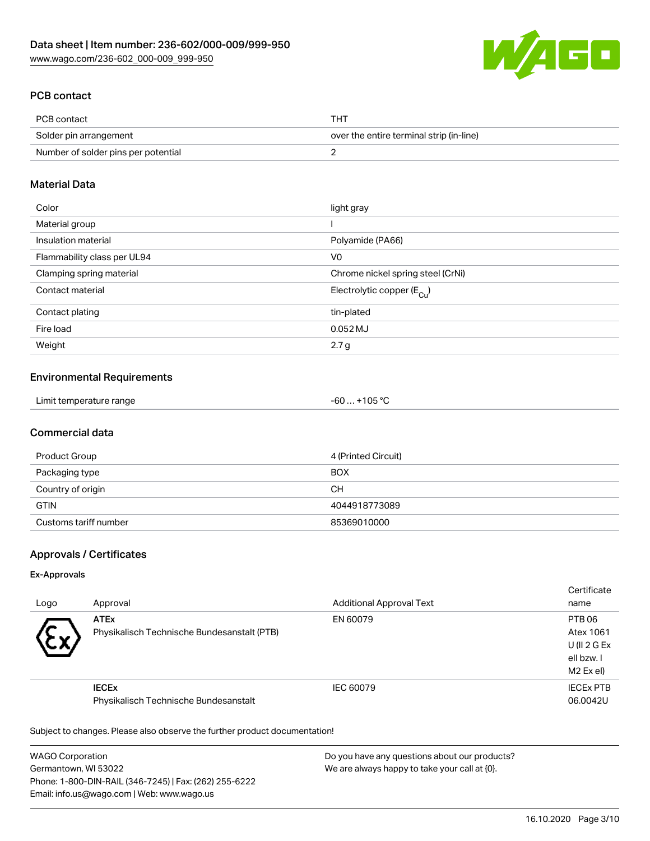

# PCB contact

| PCB contact                         | <b>THT</b>                               |
|-------------------------------------|------------------------------------------|
| Solder pin arrangement              | over the entire terminal strip (in-line) |
| Number of solder pins per potential |                                          |

## Material Data

| Color                       | light gray                              |
|-----------------------------|-----------------------------------------|
| Material group              |                                         |
| Insulation material         | Polyamide (PA66)                        |
| Flammability class per UL94 | V <sub>0</sub>                          |
| Clamping spring material    | Chrome nickel spring steel (CrNi)       |
| Contact material            | Electrolytic copper ( $E_{\text{Cu}}$ ) |
| Contact plating             | tin-plated                              |
| Fire load                   | 0.052 MJ                                |
| Weight                      | 2.7 <sub>g</sub>                        |

## Environmental Requirements

| Limit temperature range | $-60+105 °C$ |
|-------------------------|--------------|
|-------------------------|--------------|

# Commercial data

| Product Group         | 4 (Printed Circuit) |
|-----------------------|---------------------|
| Packaging type        | <b>BOX</b>          |
| Country of origin     | CН                  |
| <b>GTIN</b>           | 4044918773089       |
| Customs tariff number | 85369010000         |

# Approvals / Certificates

#### Ex-Approvals

| Logo      | Approval                                                   | <b>Additional Approval Text</b> | Certificate<br>name                                           |
|-----------|------------------------------------------------------------|---------------------------------|---------------------------------------------------------------|
| $\ddot{}$ | <b>ATEx</b><br>Physikalisch Technische Bundesanstalt (PTB) | EN 60079                        | PTB 06<br>Atex 1061<br>U(II 2 G Ex<br>ell bzw. I<br>M2 Ex el) |
|           | <b>IECEX</b><br>Physikalisch Technische Bundesanstalt      | IEC 60079                       | <b>IECEX PTB</b><br>06.0042U                                  |

Subject to changes. Please also observe the further product documentation!

WAGO Corporation Germantown, WI 53022 Phone: 1-800-DIN-RAIL (346-7245) | Fax: (262) 255-6222 Email: info.us@wago.com | Web: www.wago.us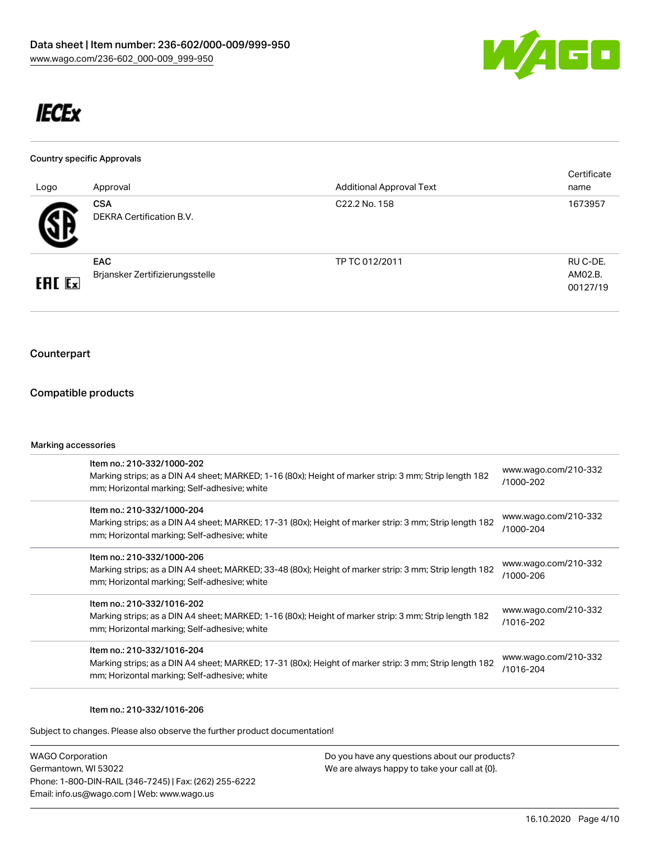

# **IECEx**

#### Country specific Approvals

| Logo          | Approval                                      | <b>Additional Approval Text</b> | Certificate<br>name             |
|---------------|-----------------------------------------------|---------------------------------|---------------------------------|
| 5 Z           | <b>CSA</b><br>DEKRA Certification B.V.        | C <sub>22.2</sub> No. 158       | 1673957                         |
| <b>ERC</b> Ex | <b>EAC</b><br>Brjansker Zertifizierungsstelle | TP TC 012/2011                  | RU C-DE.<br>AM02.B.<br>00127/19 |

# Counterpart

## Compatible products

#### Marking accessories

| Item no.: 210-332/1000-202<br>Marking strips; as a DIN A4 sheet; MARKED; 1-16 (80x); Height of marker strip: 3 mm; Strip length 182<br>mm; Horizontal marking; Self-adhesive; white  | www.wago.com/210-332<br>/1000-202 |
|--------------------------------------------------------------------------------------------------------------------------------------------------------------------------------------|-----------------------------------|
| Item no.: 210-332/1000-204<br>Marking strips; as a DIN A4 sheet; MARKED; 17-31 (80x); Height of marker strip: 3 mm; Strip length 182<br>mm; Horizontal marking; Self-adhesive; white | www.wago.com/210-332<br>/1000-204 |
| Item no.: 210-332/1000-206<br>Marking strips; as a DIN A4 sheet; MARKED; 33-48 (80x); Height of marker strip: 3 mm; Strip length 182<br>mm; Horizontal marking; Self-adhesive; white | www.wago.com/210-332<br>/1000-206 |
| Item no.: 210-332/1016-202<br>Marking strips; as a DIN A4 sheet; MARKED; 1-16 (80x); Height of marker strip: 3 mm; Strip length 182<br>mm; Horizontal marking; Self-adhesive; white  | www.wago.com/210-332<br>/1016-202 |
| Item no.: 210-332/1016-204<br>Marking strips; as a DIN A4 sheet; MARKED; 17-31 (80x); Height of marker strip: 3 mm; Strip length 182<br>mm; Horizontal marking; Self-adhesive; white | www.wago.com/210-332<br>/1016-204 |
|                                                                                                                                                                                      |                                   |

#### Item no.: 210-332/1016-206

Subject to changes. Please also observe the further product documentation!

WAGO Corporation Germantown, WI 53022 Phone: 1-800-DIN-RAIL (346-7245) | Fax: (262) 255-6222 Email: info.us@wago.com | Web: www.wago.us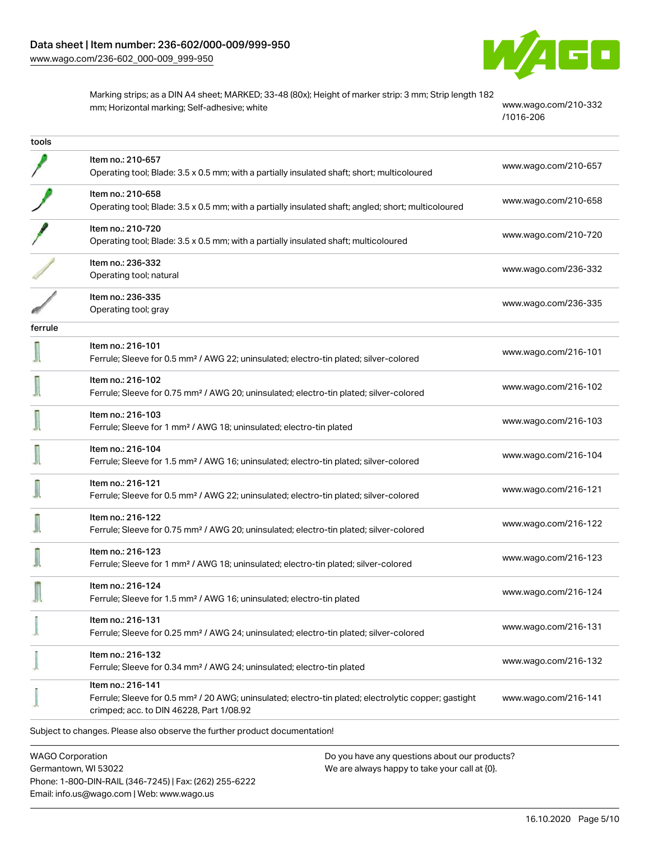

Marking strips; as a DIN A4 sheet; MARKED; 33-48 (80x); Height of marker strip: 3 mm; Strip length 182 mm; Horizontal marking; Self-adhesive; white [www.wago.com/210-332](http://www.wago.com/210-332/1016-206)

[/1016-206](http://www.wago.com/210-332/1016-206)

| tools   |                                                                                                                                                                                   |                      |
|---------|-----------------------------------------------------------------------------------------------------------------------------------------------------------------------------------|----------------------|
|         | Item no.: 210-657<br>Operating tool; Blade: 3.5 x 0.5 mm; with a partially insulated shaft; short; multicoloured                                                                  | www.wago.com/210-657 |
|         | Item no.: 210-658<br>Operating tool; Blade: 3.5 x 0.5 mm; with a partially insulated shaft; angled; short; multicoloured                                                          | www.wago.com/210-658 |
|         | Item no.: 210-720<br>Operating tool; Blade: 3.5 x 0.5 mm; with a partially insulated shaft; multicoloured                                                                         | www.wago.com/210-720 |
|         | Item no.: 236-332<br>Operating tool; natural                                                                                                                                      | www.wago.com/236-332 |
|         | Item no.: 236-335<br>Operating tool; gray                                                                                                                                         | www.wago.com/236-335 |
| ferrule |                                                                                                                                                                                   |                      |
|         | Item no.: 216-101<br>Ferrule; Sleeve for 0.5 mm <sup>2</sup> / AWG 22; uninsulated; electro-tin plated; silver-colored                                                            | www.wago.com/216-101 |
|         | Item no.: 216-102<br>Ferrule; Sleeve for 0.75 mm <sup>2</sup> / AWG 20; uninsulated; electro-tin plated; silver-colored                                                           | www.wago.com/216-102 |
|         | Item no.: 216-103<br>Ferrule; Sleeve for 1 mm <sup>2</sup> / AWG 18; uninsulated; electro-tin plated                                                                              | www.wago.com/216-103 |
|         | Item no.: 216-104<br>Ferrule; Sleeve for 1.5 mm <sup>2</sup> / AWG 16; uninsulated; electro-tin plated; silver-colored                                                            | www.wago.com/216-104 |
|         | Item no.: 216-121<br>Ferrule; Sleeve for 0.5 mm <sup>2</sup> / AWG 22; uninsulated; electro-tin plated; silver-colored                                                            | www.wago.com/216-121 |
|         | Item no.: 216-122<br>Ferrule; Sleeve for 0.75 mm <sup>2</sup> / AWG 20; uninsulated; electro-tin plated; silver-colored                                                           | www.wago.com/216-122 |
|         | Item no.: 216-123<br>Ferrule; Sleeve for 1 mm <sup>2</sup> / AWG 18; uninsulated; electro-tin plated; silver-colored                                                              | www.wago.com/216-123 |
|         | Item no.: 216-124<br>Ferrule; Sleeve for 1.5 mm <sup>2</sup> / AWG 16; uninsulated; electro-tin plated                                                                            | www.wago.com/216-124 |
|         | Item no.: 216-131<br>Ferrule; Sleeve for 0.25 mm <sup>2</sup> / AWG 24; uninsulated; electro-tin plated; silver-colored                                                           | www.wago.com/216-131 |
|         | Item no.: 216-132<br>Ferrule; Sleeve for 0.34 mm <sup>2</sup> / AWG 24; uninsulated; electro-tin plated                                                                           | www.wago.com/216-132 |
|         | Item no.: 216-141<br>Ferrule; Sleeve for 0.5 mm <sup>2</sup> / 20 AWG; uninsulated; electro-tin plated; electrolytic copper; gastight<br>crimped; acc. to DIN 46228, Part 1/08.92 | www.wago.com/216-141 |
|         | Subject to changes. Please also observe the further product documentation!                                                                                                        |                      |

WAGO Corporation Germantown, WI 53022 Phone: 1-800-DIN-RAIL (346-7245) | Fax: (262) 255-6222 Email: info.us@wago.com | Web: www.wago.us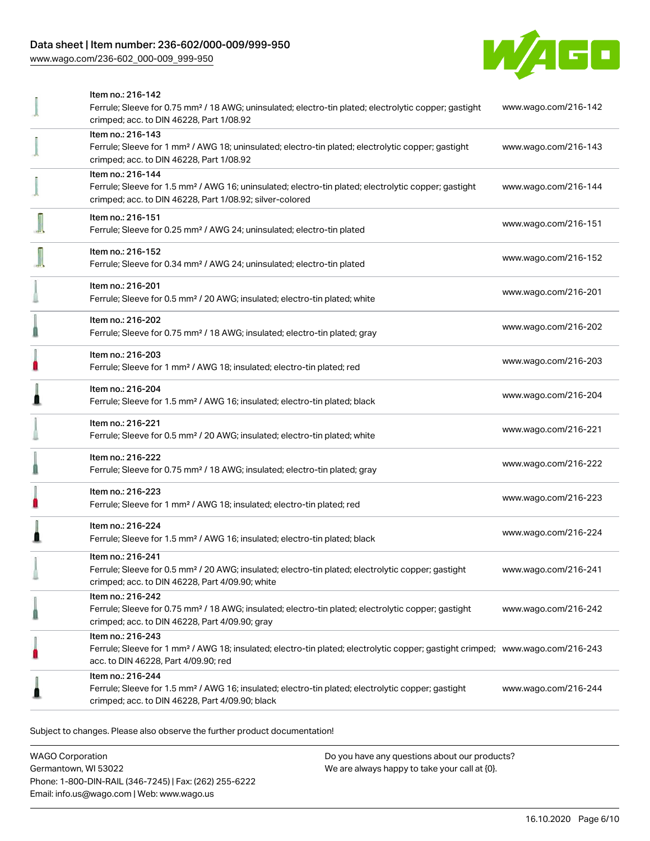# Data sheet | Item number: 236-602/000-009/999-950

[www.wago.com/236-602\\_000-009\\_999-950](http://www.wago.com/236-602_000-009_999-950)



| Item no.: 216-142                                                                                                                          |                      |
|--------------------------------------------------------------------------------------------------------------------------------------------|----------------------|
| Ferrule; Sleeve for 0.75 mm <sup>2</sup> / 18 AWG; uninsulated; electro-tin plated; electrolytic copper; gastight                          | www.wago.com/216-142 |
| crimped; acc. to DIN 46228, Part 1/08.92                                                                                                   |                      |
| Item no.: 216-143                                                                                                                          |                      |
| Ferrule; Sleeve for 1 mm <sup>2</sup> / AWG 18; uninsulated; electro-tin plated; electrolytic copper; gastight                             | www.wago.com/216-143 |
| crimped; acc. to DIN 46228, Part 1/08.92                                                                                                   |                      |
| Item no.: 216-144                                                                                                                          |                      |
| Ferrule; Sleeve for 1.5 mm <sup>2</sup> / AWG 16; uninsulated; electro-tin plated; electrolytic copper; gastight                           | www.wago.com/216-144 |
| crimped; acc. to DIN 46228, Part 1/08.92; silver-colored                                                                                   |                      |
|                                                                                                                                            |                      |
| Item no.: 216-151                                                                                                                          | www.wago.com/216-151 |
| Ferrule; Sleeve for 0.25 mm <sup>2</sup> / AWG 24; uninsulated; electro-tin plated                                                         |                      |
| Item no.: 216-152                                                                                                                          |                      |
| Ferrule; Sleeve for 0.34 mm <sup>2</sup> / AWG 24; uninsulated; electro-tin plated                                                         | www.wago.com/216-152 |
|                                                                                                                                            |                      |
| Item no.: 216-201                                                                                                                          | www.wago.com/216-201 |
| Ferrule; Sleeve for 0.5 mm <sup>2</sup> / 20 AWG; insulated; electro-tin plated; white                                                     |                      |
|                                                                                                                                            |                      |
| Item no.: 216-202                                                                                                                          | www.wago.com/216-202 |
| Ferrule; Sleeve for 0.75 mm <sup>2</sup> / 18 AWG; insulated; electro-tin plated; gray                                                     |                      |
| Item no.: 216-203                                                                                                                          |                      |
| Ferrule; Sleeve for 1 mm <sup>2</sup> / AWG 18; insulated; electro-tin plated; red                                                         | www.wago.com/216-203 |
|                                                                                                                                            |                      |
| Item no.: 216-204                                                                                                                          | www.wago.com/216-204 |
| Ferrule; Sleeve for 1.5 mm <sup>2</sup> / AWG 16; insulated; electro-tin plated; black                                                     |                      |
| Item no.: 216-221                                                                                                                          |                      |
| Ferrule; Sleeve for 0.5 mm <sup>2</sup> / 20 AWG; insulated; electro-tin plated; white                                                     | www.wago.com/216-221 |
|                                                                                                                                            |                      |
| Item no.: 216-222                                                                                                                          |                      |
| Ferrule; Sleeve for 0.75 mm <sup>2</sup> / 18 AWG; insulated; electro-tin plated; gray                                                     | www.wago.com/216-222 |
|                                                                                                                                            |                      |
| Item no.: 216-223                                                                                                                          | www.wago.com/216-223 |
| Ferrule; Sleeve for 1 mm <sup>2</sup> / AWG 18; insulated; electro-tin plated; red                                                         |                      |
| Item no.: 216-224                                                                                                                          |                      |
| Ferrule; Sleeve for 1.5 mm <sup>2</sup> / AWG 16; insulated; electro-tin plated; black                                                     | www.wago.com/216-224 |
|                                                                                                                                            |                      |
| Item no.: 216-241                                                                                                                          |                      |
| Ferrule; Sleeve for 0.5 mm <sup>2</sup> / 20 AWG; insulated; electro-tin plated; electrolytic copper; gastight                             | www.wago.com/216-241 |
| crimped; acc. to DIN 46228, Part 4/09.90; white                                                                                            |                      |
| Item no.: 216-242                                                                                                                          |                      |
| Ferrule; Sleeve for 0.75 mm <sup>2</sup> / 18 AWG; insulated; electro-tin plated; electrolytic copper; gastight                            | www.wago.com/216-242 |
| crimped; acc. to DIN 46228, Part 4/09.90; gray                                                                                             |                      |
| Item no.: 216-243                                                                                                                          |                      |
| Ferrule; Sleeve for 1 mm <sup>2</sup> / AWG 18; insulated; electro-tin plated; electrolytic copper; gastight crimped; www.wago.com/216-243 |                      |
| acc. to DIN 46228, Part 4/09.90; red                                                                                                       |                      |
| Item no.: 216-244                                                                                                                          |                      |
| Ferrule; Sleeve for 1.5 mm <sup>2</sup> / AWG 16; insulated; electro-tin plated; electrolytic copper; gastight                             | www.wago.com/216-244 |
| crimped; acc. to DIN 46228, Part 4/09.90; black                                                                                            |                      |
|                                                                                                                                            |                      |

Subject to changes. Please also observe the further product documentation!

WAGO Corporation Germantown, WI 53022 Phone: 1-800-DIN-RAIL (346-7245) | Fax: (262) 255-6222 Email: info.us@wago.com | Web: www.wago.us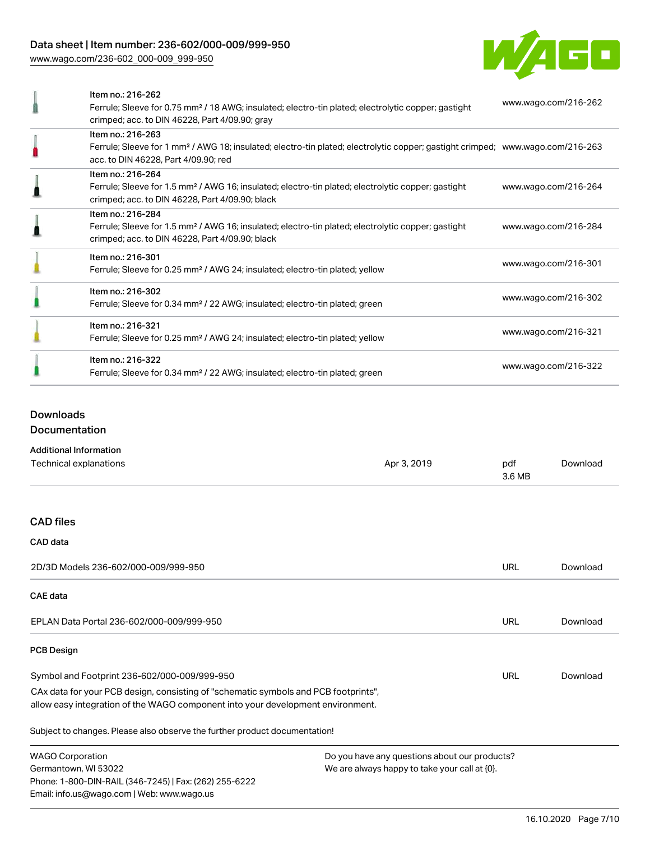# Data sheet | Item number: 236-602/000-009/999-950

[www.wago.com/236-602\\_000-009\\_999-950](http://www.wago.com/236-602_000-009_999-950)



| Item no.: 216-262<br>Ferrule; Sleeve for 0.75 mm <sup>2</sup> / 18 AWG; insulated; electro-tin plated; electrolytic copper; gastight<br>crimped; acc. to DIN 46228, Part 4/09.90; gray                  | www.wago.com/216-262 |
|---------------------------------------------------------------------------------------------------------------------------------------------------------------------------------------------------------|----------------------|
| Item no.: 216-263<br>Ferrule; Sleeve for 1 mm <sup>2</sup> / AWG 18; insulated; electro-tin plated; electrolytic copper; gastight crimped; www.wago.com/216-263<br>acc. to DIN 46228, Part 4/09.90; red |                      |
| Item no.: 216-264<br>Ferrule; Sleeve for 1.5 mm <sup>2</sup> / AWG 16; insulated; electro-tin plated; electrolytic copper; gastight<br>crimped; acc. to DIN 46228, Part 4/09.90; black                  | www.wago.com/216-264 |
| Item no.: 216-284<br>Ferrule; Sleeve for 1.5 mm <sup>2</sup> / AWG 16; insulated; electro-tin plated; electrolytic copper; gastight<br>crimped; acc. to DIN 46228, Part 4/09.90; black                  | www.wago.com/216-284 |
| Item no.: 216-301<br>Ferrule; Sleeve for 0.25 mm <sup>2</sup> / AWG 24; insulated; electro-tin plated; yellow                                                                                           | www.wago.com/216-301 |
| Item no.: 216-302<br>Ferrule; Sleeve for 0.34 mm <sup>2</sup> / 22 AWG; insulated; electro-tin plated; green                                                                                            | www.wago.com/216-302 |
| Item no.: 216-321<br>Ferrule; Sleeve for 0.25 mm <sup>2</sup> / AWG 24; insulated; electro-tin plated; yellow                                                                                           | www.wago.com/216-321 |
| Item no.: 216-322<br>Ferrule; Sleeve for 0.34 mm <sup>2</sup> / 22 AWG; insulated; electro-tin plated; green                                                                                            | www.wago.com/216-322 |

# Downloads

Documentation

### Additional Information

| Technical explanations                                                                                                                                                 | Apr 3, 2019                                   | pdf<br>3.6 MB | Download |
|------------------------------------------------------------------------------------------------------------------------------------------------------------------------|-----------------------------------------------|---------------|----------|
| <b>CAD files</b>                                                                                                                                                       |                                               |               |          |
| CAD data                                                                                                                                                               |                                               |               |          |
| 2D/3D Models 236-602/000-009/999-950                                                                                                                                   |                                               | URL           | Download |
| <b>CAE</b> data                                                                                                                                                        |                                               |               |          |
| EPLAN Data Portal 236-602/000-009/999-950                                                                                                                              |                                               | URL           | Download |
| <b>PCB Design</b>                                                                                                                                                      |                                               |               |          |
| Symbol and Footprint 236-602/000-009/999-950                                                                                                                           |                                               | URL           | Download |
| CAx data for your PCB design, consisting of "schematic symbols and PCB footprints",<br>allow easy integration of the WAGO component into your development environment. |                                               |               |          |
| Subject to changes. Please also observe the further product documentation!                                                                                             |                                               |               |          |
| <b>WAGO Corporation</b>                                                                                                                                                | Do you have any questions about our products? |               |          |
| Germantown, WI 53022<br>We are always happy to take your call at {0}.                                                                                                  |                                               |               |          |
| Phone: 1-800-DIN-RAIL (346-7245)   Fax: (262) 255-6222                                                                                                                 |                                               |               |          |
| Email: info.us@wago.com   Web: www.wago.us                                                                                                                             |                                               |               |          |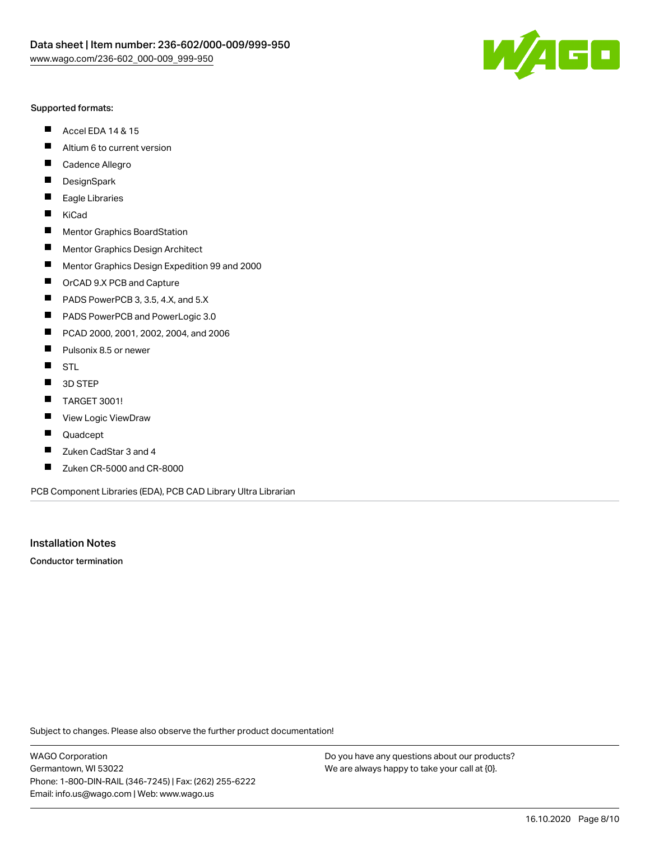

#### Supported formats:

- $\blacksquare$ Accel EDA 14 & 15
- $\blacksquare$ Altium 6 to current version
- $\blacksquare$ Cadence Allegro
- $\blacksquare$ **DesignSpark**
- $\blacksquare$ Eagle Libraries
- $\blacksquare$ KiCad
- $\blacksquare$ Mentor Graphics BoardStation
- $\blacksquare$ Mentor Graphics Design Architect
- $\blacksquare$ Mentor Graphics Design Expedition 99 and 2000
- $\blacksquare$ OrCAD 9.X PCB and Capture
- $\blacksquare$ PADS PowerPCB 3, 3.5, 4.X, and 5.X
- $\blacksquare$ PADS PowerPCB and PowerLogic 3.0
- $\blacksquare$ PCAD 2000, 2001, 2002, 2004, and 2006
- $\blacksquare$ Pulsonix 8.5 or newer
- $\blacksquare$ STL
- 3D STEP П
- $\blacksquare$ TARGET 3001!
- $\blacksquare$ View Logic ViewDraw
- П Quadcept
- Zuken CadStar 3 and 4  $\blacksquare$
- Zuken CR-5000 and CR-8000 П

PCB Component Libraries (EDA), PCB CAD Library Ultra Librarian

Installation Notes

Conductor termination

Subject to changes. Please also observe the further product documentation!

WAGO Corporation Germantown, WI 53022 Phone: 1-800-DIN-RAIL (346-7245) | Fax: (262) 255-6222 Email: info.us@wago.com | Web: www.wago.us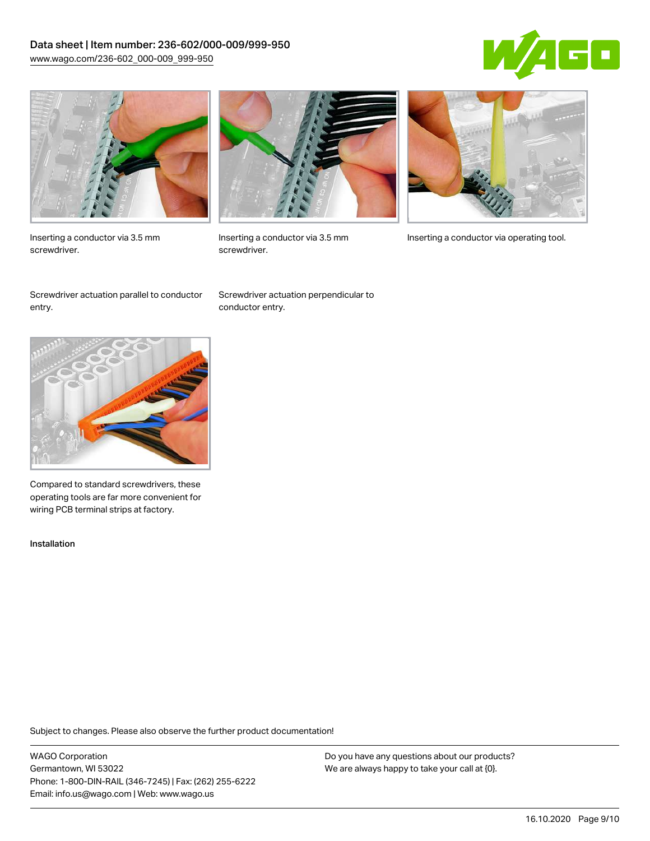# Data sheet | Item number: 236-602/000-009/999-950 [www.wago.com/236-602\\_000-009\\_999-950](http://www.wago.com/236-602_000-009_999-950)





Inserting a conductor via 3.5 mm screwdriver.



screwdriver.

Inserting a conductor via 3.5 mm Inserting a conductor via operating tool.

Screwdriver actuation parallel to conductor entry.

Screwdriver actuation perpendicular to conductor entry.



Compared to standard screwdrivers, these operating tools are far more convenient for wiring PCB terminal strips at factory.

Installation

Subject to changes. Please also observe the further product documentation!

WAGO Corporation Germantown, WI 53022 Phone: 1-800-DIN-RAIL (346-7245) | Fax: (262) 255-6222 Email: info.us@wago.com | Web: www.wago.us